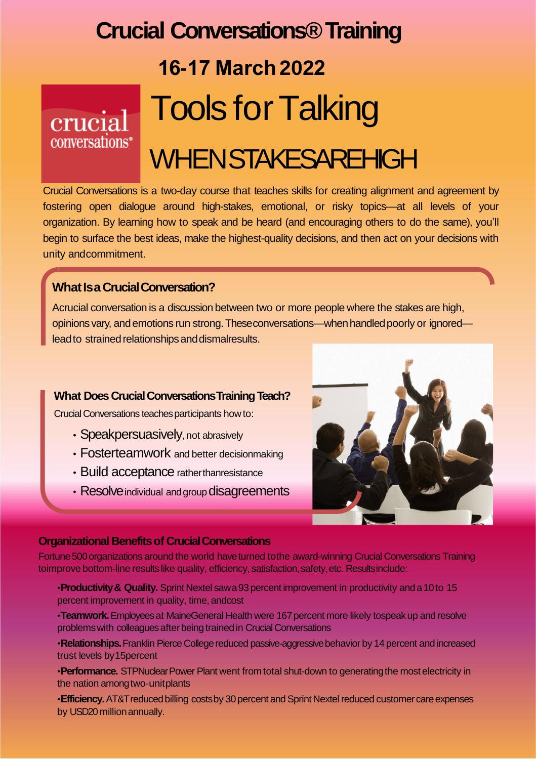## **Crucial Conversations® Training 16-17 March 2022 Tools for Talking** crucia conversations<sup>®</sup> **WHENSTAKESAREHIGH**

Crucial Conversations is a two-day course that teaches skills for creating alignment and agreement by fostering open dialogue around high-stakes, emotional, or risky topics—at all levels of your organization. By learning how to speak and be heard (and encouraging others to do the same), you'll begin to surface the best ideas, make the highest-quality decisions, and then act on your decisions with unity andcommitment.

### **What Is a Crucial Conversation?**

Acrucial conversation is a discussion between two or more people where the stakes are high, opinions vary, and emotions run strong. Theseconversations—when handled poorly or ignored lead to strained relationships and dismalresults.

#### **What Does Crucial ConversationsTraining Teach?**

Crucial Conversations teaches participants how to:

- Speakpersuasively, not abrasively
- Fosterteamwork and better decisionmaking
- Build acceptance ratherthanresistance
- Resolve individual and group disagreements



#### **Organizational Benefits of Crucial Conversations**

Fortune 500 organizations around the world have turned tothe award-winning Crucial Conversations Training toimprove bottom-line results like quality, efficiency, satisfaction, safety, etc. Resultsinclude:

•**Productivity& Quality.** Sprint Nextel sawa93 percent improvement in productivity and a10to 15 percent improvement in quality, time, andcost

•**Teamwork.** Employees at MaineGeneral Health were 167 percent more likely tospeak up and resolve problems with colleagues after being trained in Crucial Conversations

•Relationships. Franklin Pierce College reduced passive-aggressive behavior by 14 percent and increased trust levels by15percent

•**Performance.** STPNuclear Power Plant went from total shut-down to generating the most electricity in the nation amongtwo-unitplants

•**Efficiency.** AT&T reduced billing costs by 30 percent and Sprint Nextel reduced customer care expenses by USD20 millionannually.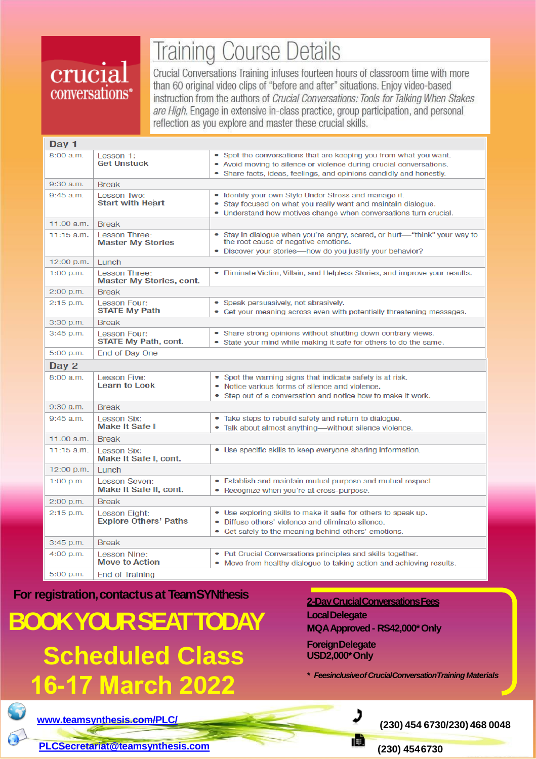## crucial conversations<sup>®</sup>

# **Training Course Details**

Crucial Conversations Training infuses fourteen hours of classroom time with more than 60 original video clips of "before and after" situations. Enjoy video-based instruction from the authors of Crucial Conversations: Tools for Talking When Stakes are High. Engage in extensive in-class practice, group participation, and personal reflection as you explore and master these crucial skills.

| Day 1        |                                                         |                                                                                                                                                                                                                 |  |  |
|--------------|---------------------------------------------------------|-----------------------------------------------------------------------------------------------------------------------------------------------------------------------------------------------------------------|--|--|
| 8:00 a.m.    | Lesson 1:<br><b>Get Unstuck</b>                         | • Spot the conversations that are keeping you from what you want.<br>• Avoid moving to silence or violence during crucial conversations.<br>• Share facts, ideas, feelings, and opinions candidly and honestly. |  |  |
| $9:30$ a.m.  | <b>Break</b>                                            |                                                                                                                                                                                                                 |  |  |
| $9:45$ a.m.  | Lesson Two:<br><b>Start with Heart</b>                  | • Identify your own Style Under Stress and manage it.<br>• Stay focused on what you really want and maintain dialogue.<br>• Understand how motives change when conversations turn crucial.                      |  |  |
| $11:00$ a.m. | <b>Break</b>                                            |                                                                                                                                                                                                                 |  |  |
| $11:15$ a.m. | <b>Lesson Three:</b><br><b>Master My Stories</b>        | • Stay in dialogue when you're angry, scared, or hurt—"think" your way to<br>the root cause of negative emotions.<br>• Discover your stories-how do you justify your behavior?                                  |  |  |
| 12:00 p.m.   | Lunch                                                   |                                                                                                                                                                                                                 |  |  |
| $1:00$ p.m.  | <b>Lesson Three:</b><br><b>Master My Stories, cont.</b> | • Eliminate Victim, Villain, and Helpless Stories, and improve your results.                                                                                                                                    |  |  |
| $2:00$ p.m.  | <b>Break</b>                                            |                                                                                                                                                                                                                 |  |  |
| $2:15$ p.m.  | <b>Lesson Four:</b><br><b>STATE My Path</b>             | • Speak persuasively, not abrasively.<br>• Get your meaning across even with potentially threatening messages.                                                                                                  |  |  |
| $3:30$ p.m.  | <b>Break</b>                                            |                                                                                                                                                                                                                 |  |  |
| $3:45$ p.m.  | Lesson Four:<br><b>STATE My Path, cont.</b>             | • Share strong opinions without shutting down contrary views.<br>• State your mind while making it safe for others to do the same.                                                                              |  |  |
| 5:00 p.m.    | <b>End of Day One</b>                                   |                                                                                                                                                                                                                 |  |  |
| Day 2        |                                                         |                                                                                                                                                                                                                 |  |  |
| 8:00 a.m.    | Lesson Five:<br><b>Learn to Look</b>                    | • Spot the warning signs that indicate safety is at risk.<br>• Notice various forms of silence and violence.<br>• Step out of a conversation and notice how to make it work.                                    |  |  |
| 9:30 a.m.    | <b>Break</b>                                            |                                                                                                                                                                                                                 |  |  |
| $9:45$ a.m.  | <b>Lesson Six:</b><br><b>Make It Safe I</b>             | • Take steps to rebuild safety and return to dialogue.<br>• Talk about almost anything—without silence violence.                                                                                                |  |  |
| $11:00$ a.m. | <b>Break</b>                                            |                                                                                                                                                                                                                 |  |  |
| $11:15$ a.m. | Lesson Six:<br>Make It Safe I, cont.                    | • Use specific skills to keep everyone sharing information.                                                                                                                                                     |  |  |
| $12:00$ p.m. | <b>Lunch</b>                                            |                                                                                                                                                                                                                 |  |  |
| 1:00 p.m.    | <b>Lesson Seven:</b><br>Make It Safe II, cont.          | • Establish and maintain mutual purpose and mutual respect.<br>• Recognize when you're at cross-purpose.                                                                                                        |  |  |
| $2:00$ p.m.  | <b>Break</b>                                            |                                                                                                                                                                                                                 |  |  |
| 2:15 p.m.    | <b>Lesson Eight:</b><br><b>Explore Others' Paths</b>    | • Use exploring skills to make it safe for others to speak up.<br>• Diffuse others' violence and eliminate silence.<br>• Get safely to the meaning behind others' emotions.                                     |  |  |
| 3:45 p.m.    | <b>Break</b>                                            |                                                                                                                                                                                                                 |  |  |
| 4:00 p.m.    | <b>Lesson Nine:</b><br><b>Move to Action</b>            | • Put Crucial Conversations principles and skills together.<br>• Move from healthy dialogue to taking action and achieving results.                                                                             |  |  |
| 5:00 p.m.    | <b>End of Training</b>                                  |                                                                                                                                                                                                                 |  |  |

**For registration,contactusat TeamSYNthesis**

**BOOKYOURSEATTODAY Scheduled Class 16-17 March 2022**

### **2-DayCrucialConversationsFees LocalDelegate MQAApproved- RS42,000\*Only ForeignDelegate**

**USD2,000\*Only**

*\* FeesinclusiveofCrucialConversationTraining Materials*



**[www.teamsynthesis.com/PLC/](http://www.teamsynthesis.com/PLC/) (230) <sup>454</sup> 6730/230) <sup>468</sup> <sup>0048</sup>**

**[PLCSecretariat@teamsynthesis.com](mailto:PLCSecretariat@teamsynthesis.com) (230) 4546730**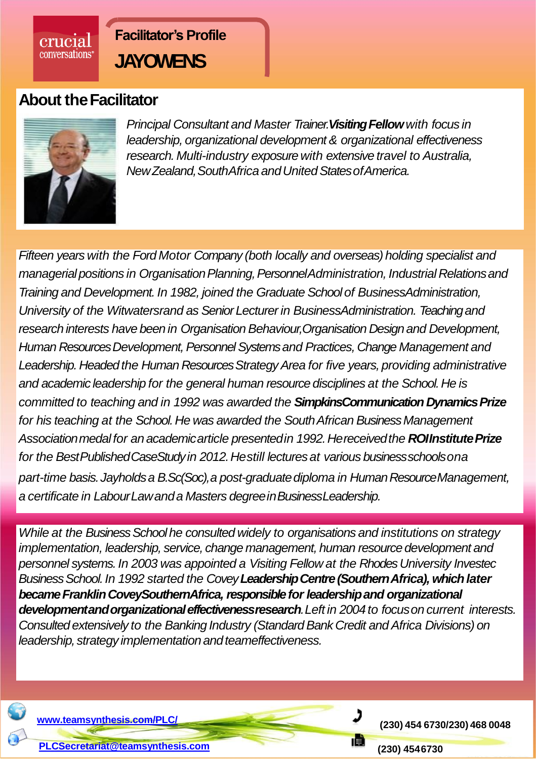

### **About theFacilitator**



crucial conversations<sup>®</sup>

> *Principal Consultant and Master Trainer.Visiting Fellow with focus in leadership, organizational development & organizational effectiveness research. Multi-industry exposure with extensive travel to Australia, NewZealand,SouthAfrica andUnitedStatesofAmerica.*

*Fifteen years with the Ford Motor Company (both locally and overseas) holding specialist and managerialpositions in OrganisationPlanning,PersonnelAdministration, Industrial Relationsand Training and Development. In 1982, joined the Graduate School of BusinessAdministration, University of the Witwatersrand as Senior Lecturer in BusinessAdministration. Teaching and research interests have been in Organisation Behaviour,Organisation Design and Development, Human Resources Development, Personnel Systems and Practices, Change Management and Leadership. Headed the Human Resources Strategy Area for five years, providing administrative and academic leadership for the general human resource disciplines at the School. He is committed to teaching and in 1992 was awarded the SimpkinsCommunication Dynamics Prize for his teaching at the School. He was awarded the South African Business Management Associationmedalfor an academicarticle presentedin 1992.Hereceivedthe ROIInstitutePrize for the BestPublishedCaseStudyin 2012.Hestill lecturesat various businessschoolsona part-time basis.Jayholdsa B.Sc(Soc),a post-graduatediploma in HumanResourceManagement, a certificate in LabourLawanda Masters degreeinBusinessLeadership.*

*While at the Business School he consulted widely to organisations and institutions on strategy implementation, leadership, service, change management, human resource development and personnel systems. In 2003 was appointed a Visiting Fellow at the Rhodes University Investec Business School. In 1992 started the Covey Leadership Centre (Southern Africa), which later became Franklin CoveySouthernAfrica, responsible for leadership and organizational developmentandorganizationaleffectivenessresearch.Left in 2004to focuson current interests. Consulted extensively to the Banking Industry (Standard Bank Credit and Africa Divisions) on leadership, strategy implementationandteameffectiveness.*



**[www.teamsynthesis.com/PLC/](http://www.teamsynthesis.com/PLC/) (230) <sup>454</sup> 6730/230) <sup>468</sup> <sup>0048</sup>**